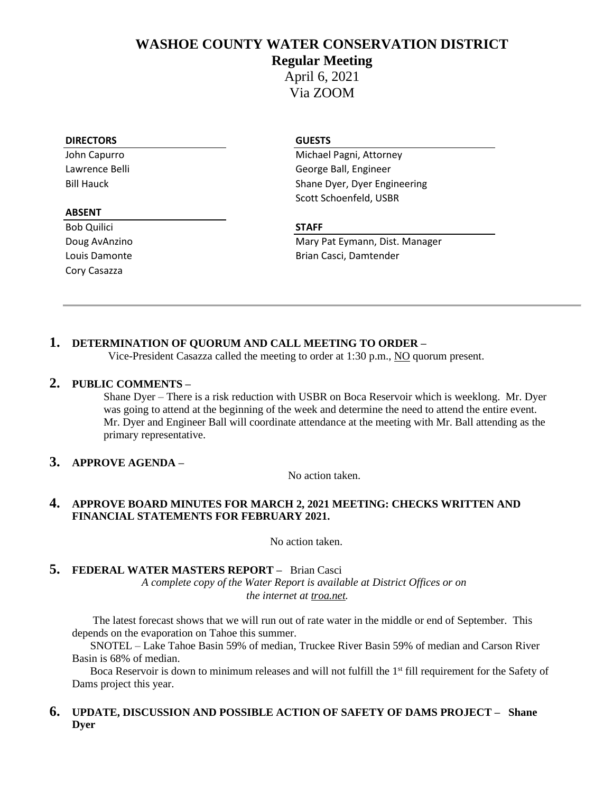## **WASHOE COUNTY WATER CONSERVATION DISTRICT**

## **Regular Meeting**

April 6, 2021 Via ZOOM

#### **DIRECTORS GUESTS**

#### **ABSENT**

Bob Quilici **STAFF** Cory Casazza

John Capurro **Michael Pagni, Attorney** Lawrence Belli George Ball, Engineer Bill Hauck Shane Dyer, Dyer Engineering Scott Schoenfeld, USBR

Doug AvAnzino **Mary Pat Eymann, Dist. Manager** Mary Pat Eymann, Dist. Manager Louis Damonte **Brian Casci**, Damtender

## **1. DETERMINATION OF QUORUM AND CALL MEETING TO ORDER –**

Vice-President Casazza called the meeting to order at 1:30 p.m., NO quorum present.

## **2. PUBLIC COMMENTS –**

Shane Dyer – There is a risk reduction with USBR on Boca Reservoir which is weeklong. Mr. Dyer was going to attend at the beginning of the week and determine the need to attend the entire event. Mr. Dyer and Engineer Ball will coordinate attendance at the meeting with Mr. Ball attending as the primary representative.

## **3. APPROVE AGENDA –**

No action taken.

## **4. APPROVE BOARD MINUTES FOR MARCH 2, 2021 MEETING: CHECKS WRITTEN AND FINANCIAL STATEMENTS FOR FEBRUARY 2021.**

No action taken.

## **5. FEDERAL WATER MASTERS REPORT –** Brian Casci

*A complete copy of the Water Report is available at District Offices or on the internet at troa.net.*

The latest forecast shows that we will run out of rate water in the middle or end of September. This depends on the evaporation on Tahoe this summer.

SNOTEL – Lake Tahoe Basin 59% of median, Truckee River Basin 59% of median and Carson River Basin is 68% of median.

Boca Reservoir is down to minimum releases and will not fulfill the 1<sup>st</sup> fill requirement for the Safety of Dams project this year.

### **6. UPDATE, DISCUSSION AND POSSIBLE ACTION OF SAFETY OF DAMS PROJECT – Shane Dyer**